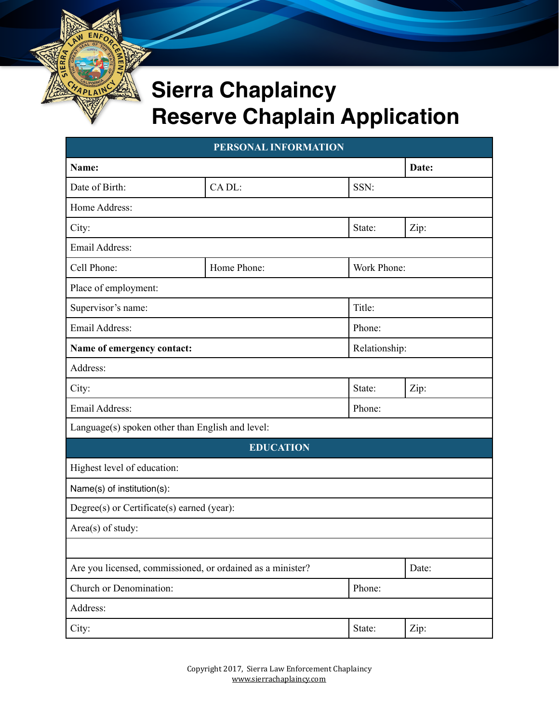## **Sierra Chaplaincy Reserve Chaplain Application**

| PERSONAL INFORMATION                                       |                  |               |             |  |  |
|------------------------------------------------------------|------------------|---------------|-------------|--|--|
| Name:                                                      |                  |               | Date:       |  |  |
| Date of Birth:                                             | CADL:            | SSN:          |             |  |  |
| Home Address:                                              |                  |               |             |  |  |
| City:                                                      |                  | State:        | Zip:        |  |  |
| Email Address:                                             |                  |               |             |  |  |
| Cell Phone:                                                | Home Phone:      |               | Work Phone: |  |  |
| Place of employment:                                       |                  |               |             |  |  |
| Supervisor's name:                                         |                  | Title:        |             |  |  |
| Email Address:                                             |                  | Phone:        |             |  |  |
| Name of emergency contact:                                 |                  | Relationship: |             |  |  |
| Address:                                                   |                  |               |             |  |  |
| City:                                                      |                  | State:        | Zip:        |  |  |
| Email Address:                                             |                  | Phone:        |             |  |  |
| Language(s) spoken other than English and level:           |                  |               |             |  |  |
|                                                            | <b>EDUCATION</b> |               |             |  |  |
| Highest level of education:                                |                  |               |             |  |  |
| Name(s) of institution(s):                                 |                  |               |             |  |  |
| Degree(s) or Certificate(s) earned (year):                 |                  |               |             |  |  |
| Area(s) of study:                                          |                  |               |             |  |  |
|                                                            |                  |               |             |  |  |
| Are you licensed, commissioned, or ordained as a minister? |                  |               | Date:       |  |  |
| Church or Denomination:                                    |                  | Phone:        |             |  |  |
| Address:                                                   |                  |               |             |  |  |
| City:                                                      |                  | State:        | Zip:        |  |  |

Copyright 2017, Sierra Law Enforcement Chaplaincy [www.sierrachaplaincy.com](http://www.sierrachaplaincy.com)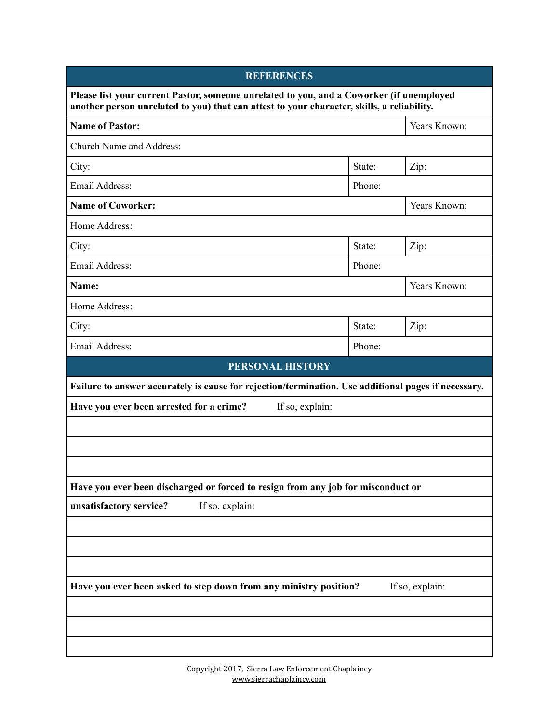| <b>REFERENCES</b>                                                                                                                                                                      |                                                                                                                                                                                  |  |  |  |  |
|----------------------------------------------------------------------------------------------------------------------------------------------------------------------------------------|----------------------------------------------------------------------------------------------------------------------------------------------------------------------------------|--|--|--|--|
| Please list your current Pastor, someone unrelated to you, and a Coworker (if unemployed<br>another person unrelated to you) that can attest to your character, skills, a reliability. |                                                                                                                                                                                  |  |  |  |  |
| <b>Name of Pastor:</b>                                                                                                                                                                 |                                                                                                                                                                                  |  |  |  |  |
|                                                                                                                                                                                        |                                                                                                                                                                                  |  |  |  |  |
| State:                                                                                                                                                                                 | Zip:                                                                                                                                                                             |  |  |  |  |
| Phone:                                                                                                                                                                                 |                                                                                                                                                                                  |  |  |  |  |
|                                                                                                                                                                                        | Years Known:                                                                                                                                                                     |  |  |  |  |
|                                                                                                                                                                                        |                                                                                                                                                                                  |  |  |  |  |
| State:                                                                                                                                                                                 | Zip:                                                                                                                                                                             |  |  |  |  |
| Phone:                                                                                                                                                                                 |                                                                                                                                                                                  |  |  |  |  |
|                                                                                                                                                                                        | Years Known:                                                                                                                                                                     |  |  |  |  |
|                                                                                                                                                                                        |                                                                                                                                                                                  |  |  |  |  |
| State:                                                                                                                                                                                 | Zip:                                                                                                                                                                             |  |  |  |  |
| Phone:                                                                                                                                                                                 |                                                                                                                                                                                  |  |  |  |  |
|                                                                                                                                                                                        |                                                                                                                                                                                  |  |  |  |  |
|                                                                                                                                                                                        | Failure to answer accurately is cause for rejection/termination. Use additional pages if necessary.                                                                              |  |  |  |  |
| Have you ever been arrested for a crime?<br>If so, explain:                                                                                                                            |                                                                                                                                                                                  |  |  |  |  |
|                                                                                                                                                                                        |                                                                                                                                                                                  |  |  |  |  |
|                                                                                                                                                                                        |                                                                                                                                                                                  |  |  |  |  |
|                                                                                                                                                                                        |                                                                                                                                                                                  |  |  |  |  |
|                                                                                                                                                                                        |                                                                                                                                                                                  |  |  |  |  |
|                                                                                                                                                                                        |                                                                                                                                                                                  |  |  |  |  |
|                                                                                                                                                                                        |                                                                                                                                                                                  |  |  |  |  |
|                                                                                                                                                                                        |                                                                                                                                                                                  |  |  |  |  |
|                                                                                                                                                                                        |                                                                                                                                                                                  |  |  |  |  |
|                                                                                                                                                                                        | If so, explain:                                                                                                                                                                  |  |  |  |  |
|                                                                                                                                                                                        |                                                                                                                                                                                  |  |  |  |  |
|                                                                                                                                                                                        |                                                                                                                                                                                  |  |  |  |  |
|                                                                                                                                                                                        |                                                                                                                                                                                  |  |  |  |  |
|                                                                                                                                                                                        | <b>PERSONAL HISTORY</b><br>Have you ever been discharged or forced to resign from any job for misconduct or<br>Have you ever been asked to step down from any ministry position? |  |  |  |  |

Copyright 2017, Sierra Law Enforcement Chaplaincy [www.sierrachaplaincy.com](http://www.sierrachaplaincy.com)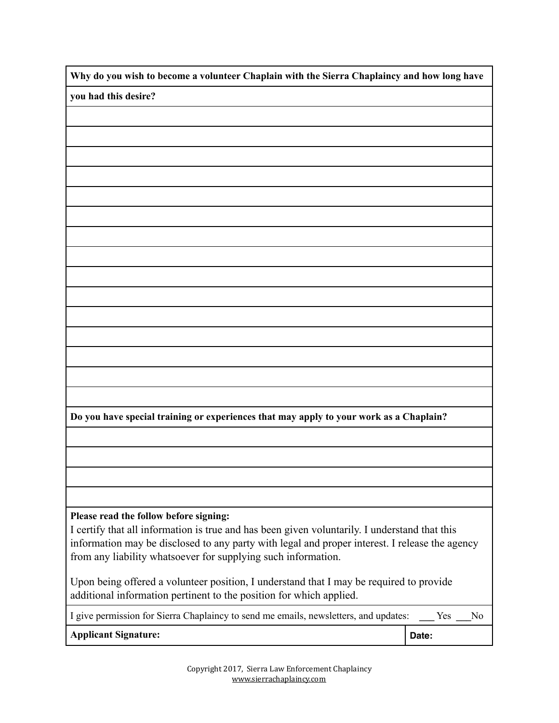**Why do you wish to become a volunteer Chaplain with the Sierra Chaplaincy and how long have**

**you had this desire?**

**Do you have special training or experiences that may apply to your work as a Chaplain?**

## **Please read the follow before signing:**

I certify that all information is true and has been given voluntarily. I understand that this information may be disclosed to any party with legal and proper interest. I release the agency from any liability whatsoever for supplying such information.

Upon being offered a volunteer position, I understand that I may be required to provide additional information pertinent to the position for which applied.

| I give permission for Sierra Chaplaincy to send me emails, newsletters, and updates: | Yes   | No. |
|--------------------------------------------------------------------------------------|-------|-----|
| <b>Applicant Signature:</b>                                                          | Date: |     |